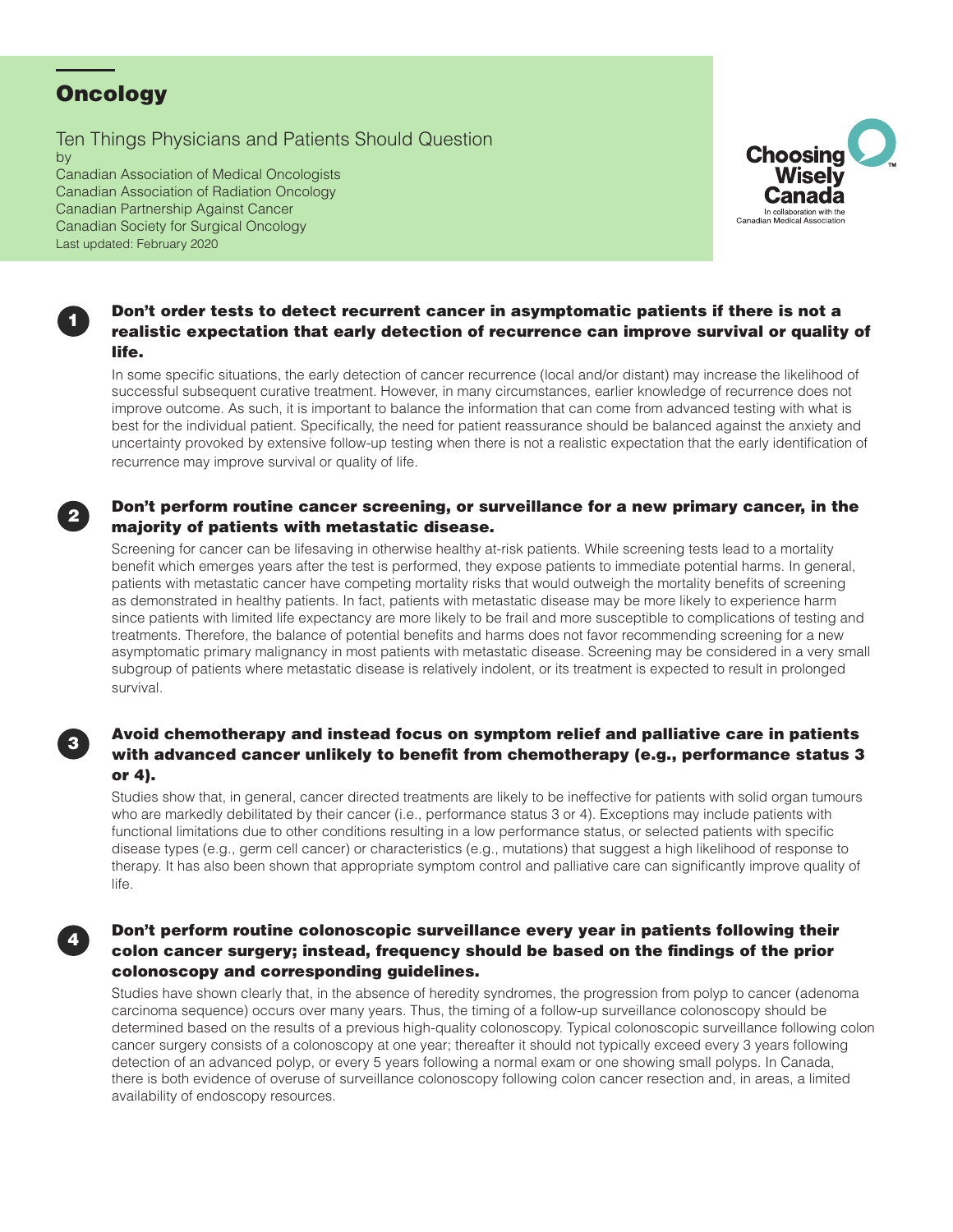# **Oncology**

Ten Things Physicians and Patients Should Question by

Canadian Association of Medical Oncologists Canadian Association of Radiation Oncology Canadian Partnership Against Cancer Canadian Society for Surgical Oncology Last updated: February 2020



#### Don't order tests to detect recurrent cancer in asymptomatic patients if there is not a realistic expectation that early detection of recurrence can improve survival or quality of life.

In some specific situations, the early detection of cancer recurrence (local and/or distant) may increase the likelihood of successful subsequent curative treatment. However, in many circumstances, earlier knowledge of recurrence does not improve outcome. As such, it is important to balance the information that can come from advanced testing with what is best for the individual patient. Specifically, the need for patient reassurance should be balanced against the anxiety and uncertainty provoked by extensive follow-up testing when there is not a realistic expectation that the early identification of recurrence may improve survival or quality of life.

### <sup>2</sup> Don't perform routine cancer screening, or surveillance for a new primary cancer, in the majority of patients with metastatic disease.

Screening for cancer can be lifesaving in otherwise healthy at-risk patients. While screening tests lead to a mortality benefit which emerges years after the test is performed, they expose patients to immediate potential harms. In general, patients with metastatic cancer have competing mortality risks that would outweigh the mortality benefits of screening as demonstrated in healthy patients. In fact, patients with metastatic disease may be more likely to experience harm since patients with limited life expectancy are more likely to be frail and more susceptible to complications of testing and treatments. Therefore, the balance of potential benefits and harms does not favor recommending screening for a new asymptomatic primary malignancy in most patients with metastatic disease. Screening may be considered in a very small subgroup of patients where metastatic disease is relatively indolent, or its treatment is expected to result in prolonged survival.

### Avoid chemotherapy and instead focus on symptom relief and palliative care in patients with advanced cancer unlikely to benefit from chemotherapy (e.g., performance status 3 or 4).

Studies show that, in general, cancer directed treatments are likely to be ineffective for patients with solid organ tumours who are markedly debilitated by their cancer (i.e., performance status 3 or 4). Exceptions may include patients with functional limitations due to other conditions resulting in a low performance status, or selected patients with specific disease types (e.g., germ cell cancer) or characteristics (e.g., mutations) that suggest a high likelihood of response to therapy. It has also been shown that appropriate symptom control and palliative care can significantly improve quality of life.

#### Don't perform routine colonoscopic surveillance every year in patients following their colon cancer surgery; instead, frequency should be based on the findings of the prior colonoscopy and corresponding guidelines.

Studies have shown clearly that, in the absence of heredity syndromes, the progression from polyp to cancer (adenoma carcinoma sequence) occurs over many years. Thus, the timing of a follow-up surveillance colonoscopy should be determined based on the results of a previous high-quality colonoscopy. Typical colonoscopic surveillance following colon cancer surgery consists of a colonoscopy at one year; thereafter it should not typically exceed every 3 years following detection of an advanced polyp, or every 5 years following a normal exam or one showing small polyps. In Canada, there is both evidence of overuse of surveillance colonoscopy following colon cancer resection and, in areas, a limited availability of endoscopy resources.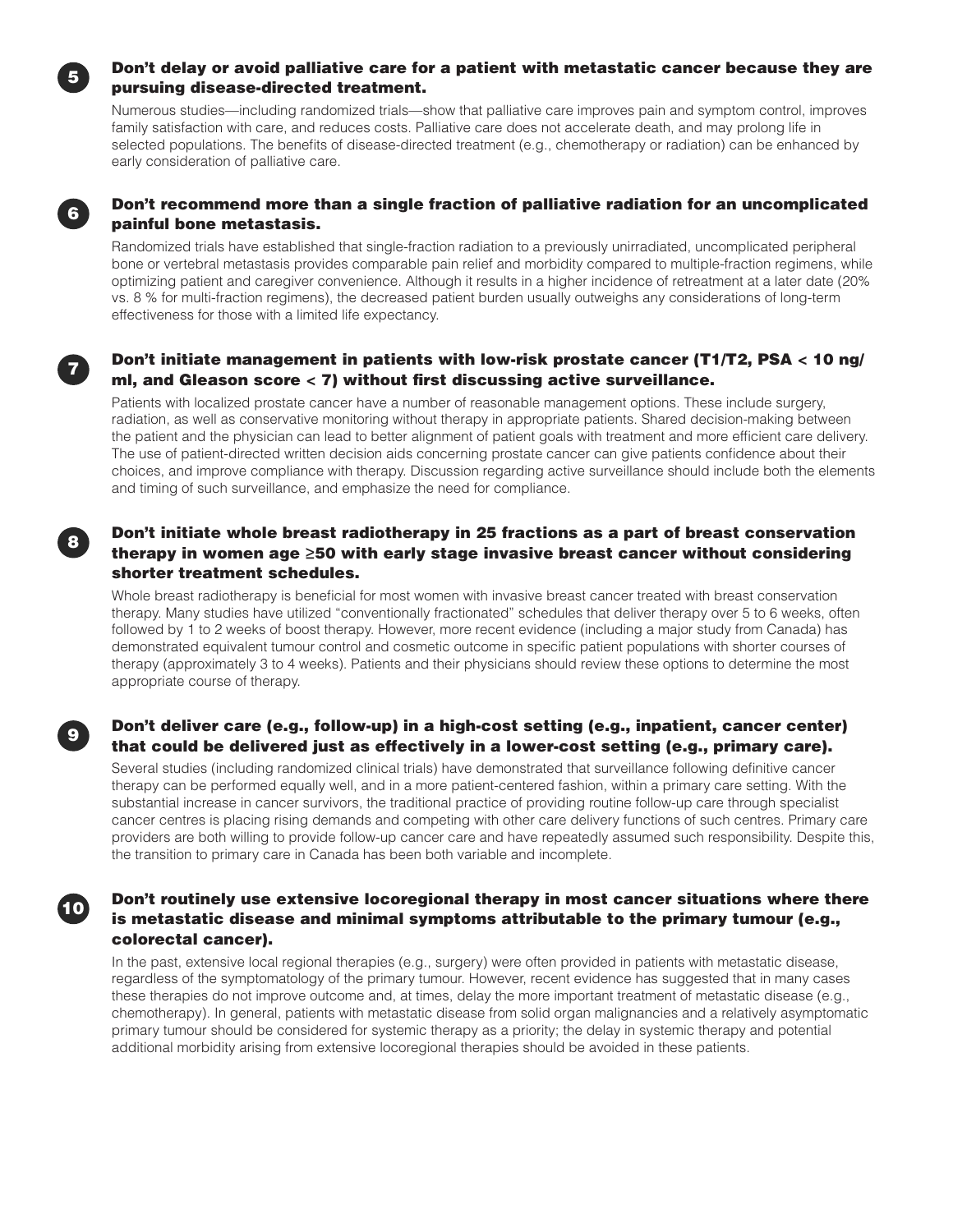

### <sup>5</sup> Don't delay or avoid palliative care for a patient with metastatic cancer because they are pursuing disease-directed treatment.

Numerous studies—including randomized trials—show that palliative care improves pain and symptom control, improves family satisfaction with care, and reduces costs. Palliative care does not accelerate death, and may prolong life in selected populations. The benefits of disease-directed treatment (e.g., chemotherapy or radiation) can be enhanced by early consideration of palliative care.



### <sup>6</sup> Don't recommend more than a single fraction of palliative radiation for an uncomplicated painful bone metastasis.

Randomized trials have established that single-fraction radiation to a previously unirradiated, uncomplicated peripheral bone or vertebral metastasis provides comparable pain relief and morbidity compared to multiple-fraction regimens, while optimizing patient and caregiver convenience. Although it results in a higher incidence of retreatment at a later date (20% vs. 8 % for multi-fraction regimens), the decreased patient burden usually outweighs any considerations of long-term effectiveness for those with a limited life expectancy.

# <sup>7</sup> Don't initiate management in patients with low-risk prostate cancer (T1/T2, PSA < 10 ng/ ml, and Gleason score < 7) without first discussing active surveillance.

Patients with localized prostate cancer have a number of reasonable management options. These include surgery, radiation, as well as conservative monitoring without therapy in appropriate patients. Shared decision-making between the patient and the physician can lead to better alignment of patient goals with treatment and more efficient care delivery. The use of patient-directed written decision aids concerning prostate cancer can give patients confidence about their choices, and improve compliance with therapy. Discussion regarding active surveillance should include both the elements and timing of such surveillance, and emphasize the need for compliance.

# <sup>8</sup> Don't initiate whole breast radiotherapy in 25 fractions as a part of breast conservation therapy in women age ≥50 with early stage invasive breast cancer without considering shorter treatment schedules.

Whole breast radiotherapy is beneficial for most women with invasive breast cancer treated with breast conservation therapy. Many studies have utilized "conventionally fractionated" schedules that deliver therapy over 5 to 6 weeks, often followed by 1 to 2 weeks of boost therapy. However, more recent evidence (including a major study from Canada) has demonstrated equivalent tumour control and cosmetic outcome in specific patient populations with shorter courses of therapy (approximately 3 to 4 weeks). Patients and their physicians should review these options to determine the most appropriate course of therapy.

# <sup>9</sup> Don't deliver care (e.g., follow-up) in a high-cost setting (e.g., inpatient, cancer center) that could be delivered just as effectively in a lower-cost setting (e.g., primary care).

Several studies (including randomized clinical trials) have demonstrated that surveillance following definitive cancer therapy can be performed equally well, and in a more patient-centered fashion, within a primary care setting. With the substantial increase in cancer survivors, the traditional practice of providing routine follow-up care through specialist cancer centres is placing rising demands and competing with other care delivery functions of such centres. Primary care providers are both willing to provide follow-up cancer care and have repeatedly assumed such responsibility. Despite this, the transition to primary care in Canada has been both variable and incomplete.

# **10 Don't routinely use extensive locoregional therapy in most cancer situations where there** is metastatic disease and minimal symptoms attributable to the primary tumour (e.g., colorectal cancer).

In the past, extensive local regional therapies (e.g., surgery) were often provided in patients with metastatic disease, regardless of the symptomatology of the primary tumour. However, recent evidence has suggested that in many cases these therapies do not improve outcome and, at times, delay the more important treatment of metastatic disease (e.g., chemotherapy). In general, patients with metastatic disease from solid organ malignancies and a relatively asymptomatic primary tumour should be considered for systemic therapy as a priority; the delay in systemic therapy and potential additional morbidity arising from extensive locoregional therapies should be avoided in these patients.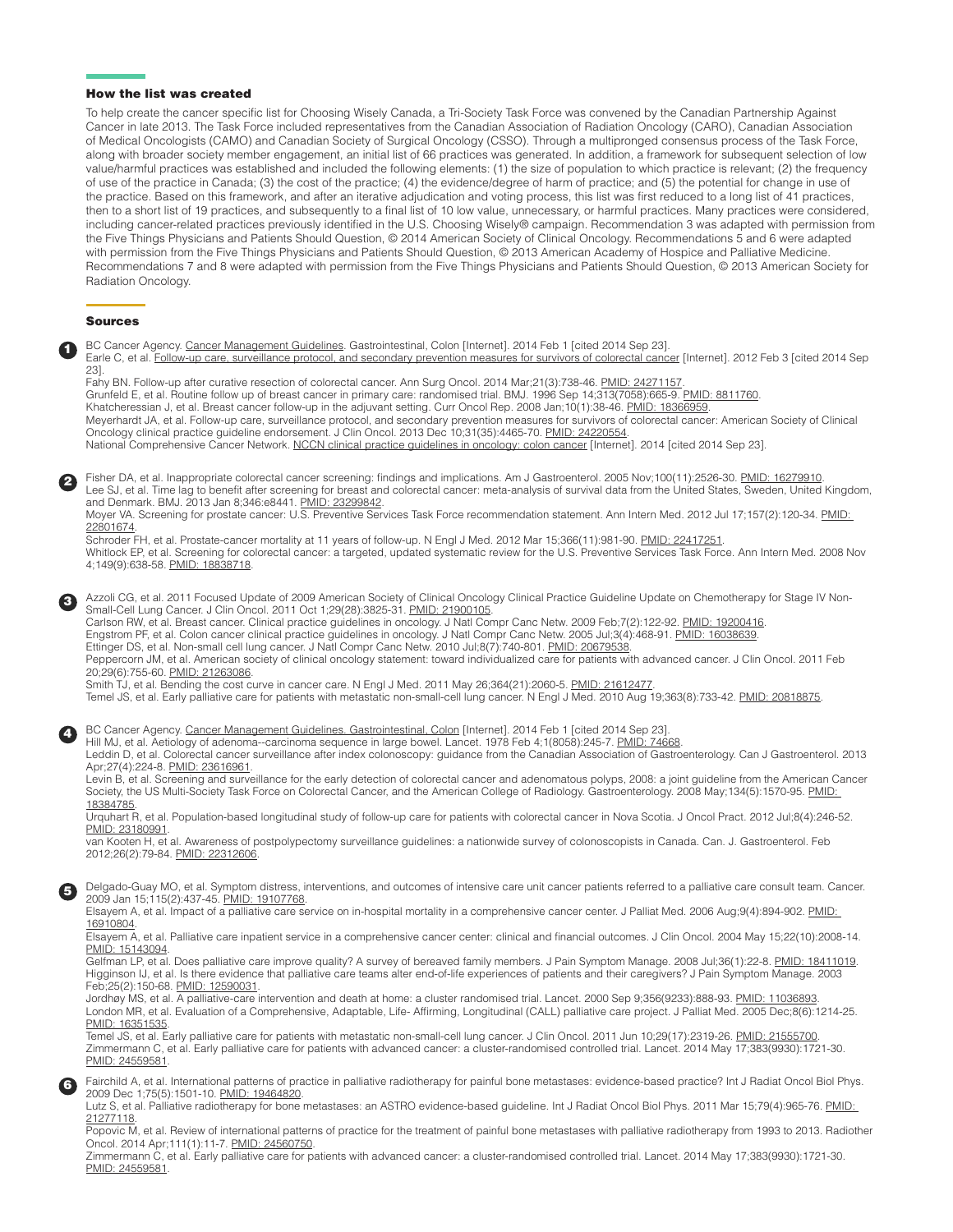#### How the list was created

To help create the cancer specific list for Choosing Wisely Canada, a Tri-Society Task Force was convened by the Canadian Partnership Against Cancer in late 2013. The Task Force included representatives from the Canadian Association of Radiation Oncology (CARO), Canadian Association of Medical Oncologists (CAMO) and Canadian Society of Surgical Oncology (CSSO). Through a multipronged consensus process of the Task Force, along with broader society member engagement, an initial list of 66 practices was generated. In addition, a framework for subsequent selection of low value/harmful practices was established and included the following elements: (1) the size of population to which practice is relevant; (2) the frequency of use of the practice in Canada; (3) the cost of the practice; (4) the evidence/degree of harm of practice; and (5) the potential for change in use of the practice. Based on this framework, and after an iterative adjudication and voting process, this list was first reduced to a long list of 41 practices, then to a short list of 19 practices, and subsequently to a final list of 10 low value, unnecessary, or harmful practices. Many practices were considered, including cancer-related practices previously identified in the U.S. Choosing Wisely® campaign. Recommendation 3 was adapted with permission from the Five Things Physicians and Patients Should Question, © 2014 American Society of Clinical Oncology. Recommendations 5 and 6 were adapted with permission from the Five Things Physicians and Patients Should Question, © 2013 American Academy of Hospice and Palliative Medicine. Recommendations 7 and 8 were adapted with permission from the Five Things Physicians and Patients Should Question, © 2013 American Society for Radiation Oncology.

#### Sources

| $\mathbf \Omega$ | BC Cancer Agency. Cancer Management Guidelines. Gastrointestinal, Colon [Internet]. 2014 Feb 1 [cited 2014 Sep 23].<br>Earle C, et al. Follow-up care, surveillance protocol, and secondary prevention measures for survivors of colorectal cancer [Internet]. 2012 Feb 3 [cited 2014 Sep<br>$23$ .<br>Fahy BN. Follow-up after curative resection of colorectal cancer. Ann Surg Oncol. 2014 Mar;21(3):738-46. PMID: 24271157.<br>Grunfeld E, et al. Routine follow up of breast cancer in primary care: randomised trial. BMJ. 1996 Sep 14;313(7058):665-9. PMID: 8811760.<br>Khatcheressian J, et al. Breast cancer follow-up in the adjuvant setting. Curr Oncol Rep. 2008 Jan; 10(1):38-46. PMID: 18366959.<br>Meyerhardt JA, et al. Follow-up care, surveillance protocol, and secondary prevention measures for survivors of colorectal cancer: American Society of Clinical<br>Oncology clinical practice guideline endorsement. J Clin Oncol. 2013 Dec 10;31(35):4465-70. PMID: 24220554.<br>National Comprehensive Cancer Network. NCCN clinical practice guidelines in oncology: colon cancer [Internet]. 2014 [cited 2014 Sep 23].                                                                                                                                                                                                                                                                                                                                                                                                                                                                                                               |
|------------------|--------------------------------------------------------------------------------------------------------------------------------------------------------------------------------------------------------------------------------------------------------------------------------------------------------------------------------------------------------------------------------------------------------------------------------------------------------------------------------------------------------------------------------------------------------------------------------------------------------------------------------------------------------------------------------------------------------------------------------------------------------------------------------------------------------------------------------------------------------------------------------------------------------------------------------------------------------------------------------------------------------------------------------------------------------------------------------------------------------------------------------------------------------------------------------------------------------------------------------------------------------------------------------------------------------------------------------------------------------------------------------------------------------------------------------------------------------------------------------------------------------------------------------------------------------------------------------------------------------------------------------------------------------------|
| 0                | Fisher DA, et al. Inappropriate colorectal cancer screening: findings and implications. Am J Gastroenterol. 2005 Nov;100(11):2526-30. PMID: 16279910.<br>Lee SJ, et al. Time lag to benefit after screening for breast and colorectal cancer: meta-analysis of survival data from the United States, Sweden, United Kingdom,<br>and Denmark. BMJ. 2013 Jan 8;346:e8441. PMID: 23299842.<br>Moyer VA. Screening for prostate cancer: U.S. Preventive Services Task Force recommendation statement. Ann Intern Med. 2012 Jul 17;157(2):120-34. PMID:<br>22801674.<br>Schroder FH, et al. Prostate-cancer mortality at 11 years of follow-up. N Engl J Med. 2012 Mar 15;366(11):981-90. PMID: 22417251.<br>Whitlock EP, et al. Screening for colorectal cancer: a targeted, updated systematic review for the U.S. Preventive Services Task Force. Ann Intern Med. 2008 Nov<br>4;149(9):638-58. PMID: 18838718.                                                                                                                                                                                                                                                                                                                                                                                                                                                                                                                                                                                                                                                                                                                                                 |
| ❸                | Azzoli CG, et al. 2011 Focused Update of 2009 American Society of Clinical Oncology Clinical Practice Guideline Update on Chemotherapy for Stage IV Non-<br>Small-Cell Lung Cancer. J Clin Oncol. 2011 Oct 1;29(28):3825-31. PMID: 21900105.<br>Carlson RW, et al. Breast cancer. Clinical practice guidelines in oncology. J Natl Compr Canc Netw. 2009 Feb;7(2):122-92. PMID: 19200416.<br>Engstrom PF, et al. Colon cancer clinical practice guidelines in oncology. J Natl Compr Canc Netw. 2005 Jul;3(4):468-91. PMID: 16038639.<br>Ettinger DS, et al. Non-small cell lung cancer. J Natl Compr Canc Netw. 2010 Jul;8(7):740-801. PMID: 20679538.<br>Peppercorn JM, et al. American society of clinical oncology statement: toward individualized care for patients with advanced cancer. J Clin Oncol. 2011 Feb<br>20;29(6):755-60. PMID: 21263086.<br>Smith TJ, et al. Bending the cost curve in cancer care. N Engl J Med. 2011 May 26;364(21):2060-5. PMID: 21612477.<br>Temel JS, et al. Early palliative care for patients with metastatic non-small-cell lung cancer. N Engl J Med. 2010 Aug 19;363(8):733-42. PMID: 20818875.                                                                                                                                                                                                                                                                                                                                                                                                                                                                                                                  |
| O                | BC Cancer Agency. Cancer Management Guidelines. Gastrointestinal, Colon [Internet]. 2014 Feb 1 [cited 2014 Sep 23].<br>Hill MJ, et al. Aetiology of adenoma--carcinoma sequence in large bowel. Lancet. 1978 Feb 4;1(8058):245-7. PMID: 74668.<br>Leddin D, et al. Colorectal cancer surveillance after index colonoscopy: guidance from the Canadian Association of Gastroenterology. Can J Gastroenterol. 2013<br>Apr;27(4):224-8. PMID: 23616961.<br>Levin B, et al. Screening and surveillance for the early detection of colorectal cancer and adenomatous polyps, 2008: a joint guideline from the American Cancer<br>Society, the US Multi-Society Task Force on Colorectal Cancer, and the American College of Radiology. Gastroenterology. 2008 May;134(5):1570-95. PMID:<br>18384785.<br>Urguhart R, et al. Population-based longitudinal study of follow-up care for patients with colorectal cancer in Nova Scotia. J Oncol Pract. 2012 Jul;8(4):246-52.<br>PMID: 23180991.<br>van Kooten H, et al. Awareness of postpolypectomy surveillance guidelines: a nationwide survey of colonoscopists in Canada. Can. J. Gastroenterol. Feb<br>2012;26(2):79-84. PMID: 22312606.                                                                                                                                                                                                                                                                                                                                                                                                                                                                       |
| 6                | Delgado-Guay MO, et al. Symptom distress, interventions, and outcomes of intensive care unit cancer patients referred to a palliative care consult team. Cancer.<br>2009 Jan 15;115(2):437-45. PMID: 19107768.<br>Elsayem A, et al. Impact of a palliative care service on in-hospital mortality in a comprehensive cancer center. J Palliat Med. 2006 Aug;9(4):894-902. <b>PMID</b> :<br>16910804.<br>Elsayem A, et al. Palliative care inpatient service in a comprehensive cancer center: clinical and financial outcomes. J Clin Oncol. 2004 May 15;22(10):2008-14.<br>PMID: 15143094.<br>Gelfman LP, et al. Does palliative care improve quality? A survey of bereaved family members. J Pain Symptom Manage. 2008 Jul;36(1):22-8. PMID: 18411019.<br>Higginson IJ, et al. Is there evidence that palliative care teams alter end-of-life experiences of patients and their caregivers? J Pain Symptom Manage. 2003<br>Feb; 25(2): 150-68. PMID: 12590031.<br>Jordhøy MS, et al. A palliative-care intervention and death at home: a cluster randomised trial. Lancet. 2000 Sep 9;356(9233):888-93. PMID: 11036893.<br>London MR, et al. Evaluation of a Comprehensive, Adaptable, Life- Affirming, Longitudinal (CALL) palliative care project. J Palliat Med. 2005 Dec;8(6):1214-25.<br>PMID: 16351535<br>Temel JS, et al. Early palliative care for patients with metastatic non-small-cell lung cancer. J Clin Oncol. 2011 Jun 10:29(17):2319-26. PMID: 21555700.<br>Zimmermann C, et al. Early palliative care for patients with advanced cancer: a cluster-randomised controlled trial. Lancet. 2014 May 17;383(9930):1721-30.<br>PMID: 24559581. |
| 6                | Fairchild A, et al. International patterns of practice in palliative radiotherapy for painful bone metastases: evidence-based practice? Int J Radiat Oncol Biol Phys.<br>2009 Dec 1:75(5):1501-10. PMID: 19464820.<br>Lutz S, et al. Palliative radiotherapy for bone metastases: an ASTRO evidence-based guideline. Int J Radiat Oncol Biol Phys. 2011 Mar 15;79(4):965-76. PMID:<br>21277118.<br>Popovic M, et al. Review of international patterns of practice for the treatment of painful bone metastases with palliative radiotherapy from 1993 to 2013. Radiother<br>Oncol. 2014 Apr;111(1):11-7. PMID: 24560750.<br>Zimmermann C, et al. Early palliative care for patients with advanced cancer: a cluster-randomised controlled trial. Lancet. 2014 May 17;383(9930):1721-30.<br>PMID: 24559581.                                                                                                                                                                                                                                                                                                                                                                                                                                                                                                                                                                                                                                                                                                                                                                                                                                                   |